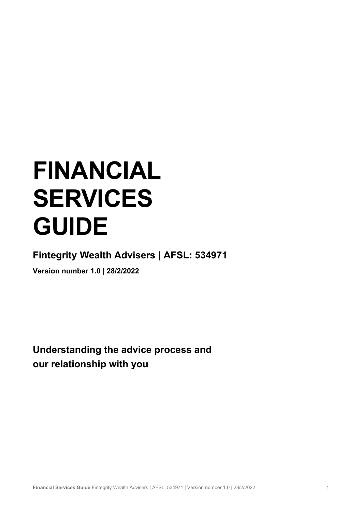# FINANCIAL SERVICES GUIDE

Fintegrity Wealth Advisers | AFSL: 534971

Version number 1.0 | 28/2/2022

Understanding the advice process and our relationship with you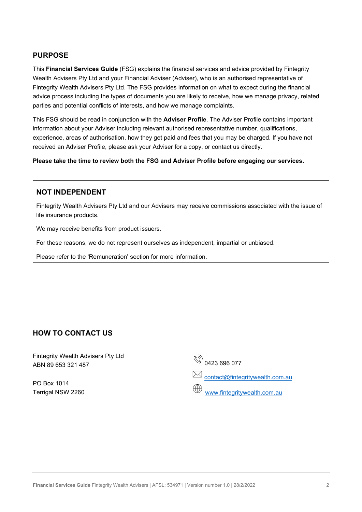# PURPOSE

This Financial Services Guide (FSG) explains the financial services and advice provided by Fintegrity Wealth Advisers Pty Ltd and your Financial Adviser (Adviser), who is an authorised representative of Fintegrity Wealth Advisers Pty Ltd. The FSG provides information on what to expect during the financial advice process including the types of documents you are likely to receive, how we manage privacy, related parties and potential conflicts of interests, and how we manage complaints.

This FSG should be read in conjunction with the **Adviser Profile**. The Adviser Profile contains important information about your Adviser including relevant authorised representative number, qualifications, experience, areas of authorisation, how they get paid and fees that you may be charged. If you have not received an Adviser Profile, please ask your Adviser for a copy, or contact us directly.

Please take the time to review both the FSG and Adviser Profile before engaging our services.

# NOT INDEPENDENT

Fintegrity Wealth Advisers Pty Ltd and our Advisers may receive commissions associated with the issue of life insurance products.

We may receive benefits from product issuers.

For these reasons, we do not represent ourselves as independent, impartial or unbiased.

Please refer to the 'Remuneration' section for more information.

# HOW TO CONTACT US

Fintegrity Wealth Advisers Pty Ltd ABN 89 653 321 487

PO Box 1014 Terrigal NSW 2260  $\begin{matrix} \sqrt[3]{3} \\ \sqrt[3]{2} \\ 0 & 0 & 0 \end{matrix}$  0423 696 077 **EX** contact@fintegritywealth.com.au

www.fintegritywealth.com.au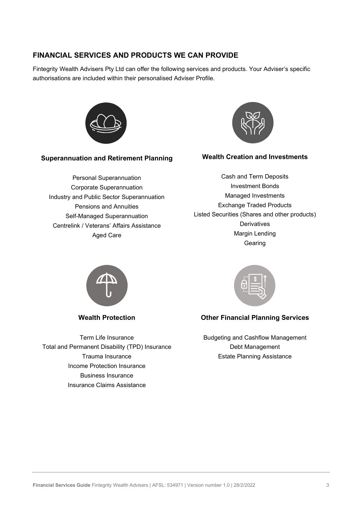# FINANCIAL SERVICES AND PRODUCTS WE CAN PROVIDE

Fintegrity Wealth Advisers Pty Ltd can offer the following services and products. Your Adviser's specific authorisations are included within their personalised Adviser Profile.



## Superannuation and Retirement Planning

Personal Superannuation Corporate Superannuation Industry and Public Sector Superannuation Pensions and Annuities Self-Managed Superannuation Centrelink / Veterans' Affairs Assistance Aged Care



## Wealth Creation and Investments

Cash and Term Deposits Investment Bonds Managed Investments Exchange Traded Products Listed Securities (Shares and other products) **Derivatives** Margin Lending Gearing



Wealth Protection

Term Life Insurance Total and Permanent Disability (TPD) Insurance Trauma Insurance Income Protection Insurance Business Insurance Insurance Claims Assistance



# Other Financial Planning Services

Budgeting and Cashflow Management Debt Management Estate Planning Assistance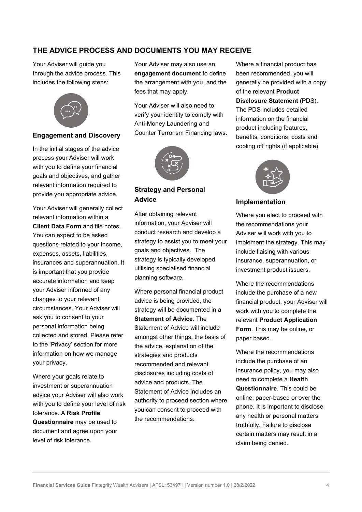# THE ADVICE PROCESS AND DOCUMENTS YOU MAY RECEIVE

Your Adviser will guide you through the advice process. This includes the following steps:



## Engagement and Discovery

In the initial stages of the advice process your Adviser will work with you to define your financial goals and objectives, and gather relevant information required to provide you appropriate advice.

Your Adviser will generally collect relevant information within a Client Data Form and file notes. You can expect to be asked questions related to your income, expenses, assets, liabilities, insurances and superannuation. It is important that you provide accurate information and keep your Adviser informed of any changes to your relevant circumstances. Your Adviser will ask you to consent to your personal information being collected and stored. Please refer to the 'Privacy' section for more information on how we manage your privacy.

Where your goals relate to investment or superannuation advice your Adviser will also work with you to define your level of risk tolerance. A Risk Profile Questionnaire may be used to document and agree upon your level of risk tolerance.

Your Adviser may also use an engagement document to define the arrangement with you, and the fees that may apply.

Your Adviser will also need to verify your identity to comply with Anti-Money Laundering and Counter Terrorism Financing laws.



# Strategy and Personal Advice

After obtaining relevant information, your Adviser will conduct research and develop a strategy to assist you to meet your goals and objectives. The strategy is typically developed utilising specialised financial planning software.

Where personal financial product advice is being provided, the strategy will be documented in a Statement of Advice. The Statement of Advice will include amongst other things, the basis of the advice, explanation of the strategies and products recommended and relevant disclosures including costs of advice and products. The Statement of Advice includes an authority to proceed section where you can consent to proceed with the recommendations.

Where a financial product has been recommended, you will generally be provided with a copy of the relevant Product Disclosure Statement (PDS). The PDS includes detailed information on the financial product including features, benefits, conditions, costs and cooling off rights (if applicable).



#### Implementation

Where you elect to proceed with the recommendations your Adviser will work with you to implement the strategy. This may include liaising with various insurance, superannuation, or investment product issuers.

Where the recommendations include the purchase of a new financial product, your Adviser will work with you to complete the relevant Product Application Form. This may be online, or paper based.

Where the recommendations include the purchase of an insurance policy, you may also need to complete a Health Questionnaire. This could be online, paper-based or over the phone. It is important to disclose any health or personal matters truthfully. Failure to disclose certain matters may result in a claim being denied.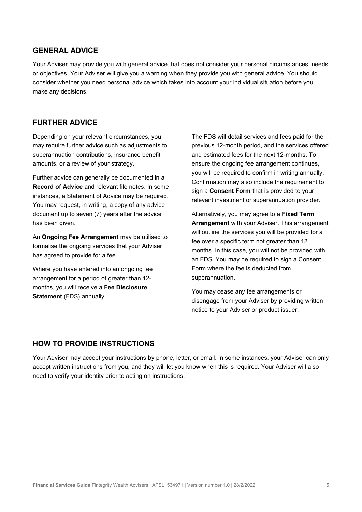# GENERAL ADVICE

Your Adviser may provide you with general advice that does not consider your personal circumstances, needs or objectives. Your Adviser will give you a warning when they provide you with general advice. You should consider whether you need personal advice which takes into account your individual situation before you make any decisions.

## FURTHER ADVICE

Depending on your relevant circumstances, you may require further advice such as adjustments to superannuation contributions, insurance benefit amounts, or a review of your strategy.

Further advice can generally be documented in a Record of Advice and relevant file notes. In some instances, a Statement of Advice may be required. You may request, in writing, a copy of any advice document up to seven (7) years after the advice has been given.

An **Ongoing Fee Arrangement** may be utilised to formalise the ongoing services that your Adviser has agreed to provide for a fee.

Where you have entered into an ongoing fee arrangement for a period of greater than 12 months, you will receive a Fee Disclosure Statement (FDS) annually.

The FDS will detail services and fees paid for the previous 12-month period, and the services offered and estimated fees for the next 12-months. To ensure the ongoing fee arrangement continues, you will be required to confirm in writing annually. Confirmation may also include the requirement to sign a Consent Form that is provided to your relevant investment or superannuation provider.

Alternatively, you may agree to a Fixed Term Arrangement with your Adviser. This arrangement will outline the services you will be provided for a fee over a specific term not greater than 12 months. In this case, you will not be provided with an FDS. You may be required to sign a Consent Form where the fee is deducted from superannuation.

You may cease any fee arrangements or disengage from your Adviser by providing written notice to your Adviser or product issuer.

## HOW TO PROVIDE INSTRUCTIONS

Your Adviser may accept your instructions by phone, letter, or email. In some instances, your Adviser can only accept written instructions from you, and they will let you know when this is required. Your Adviser will also need to verify your identity prior to acting on instructions.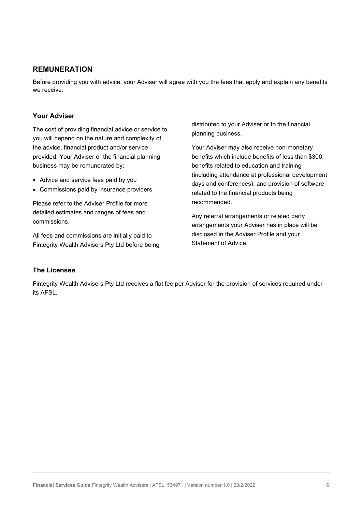# REMUNERATION

Before providing you with advice, your Adviser will agree with you the fees that apply and explain any benefits we receive.

## Your Adviser

The cost of providing financial advice or service to you will depend on the nature and complexity of the advice, financial product and/or service provided. Your Adviser or the financial planning business may be remunerated by:

- Advice and service fees paid by you
- Commissions paid by insurance providers

Please refer to the Adviser Profile for more detailed estimates and ranges of fees and commissions.

All fees and commissions are initially paid to Fintegrity Wealth Advisers Pty Ltd before being distributed to your Adviser or to the financial planning business.

Your Adviser may also receive non-monetary benefits which include benefits of less than \$300, benefits related to education and training (including attendance at professional development days and conferences), and provision of software related to the financial products being recommended.

Any referral arrangements or related party arrangements your Adviser has in place will be disclosed in the Adviser Profile and your Statement of Advice.

#### The Licensee

Fintegrity Wealth Advisers Pty Ltd receives a flat fee per Adviser for the provision of services required under its AFSL.